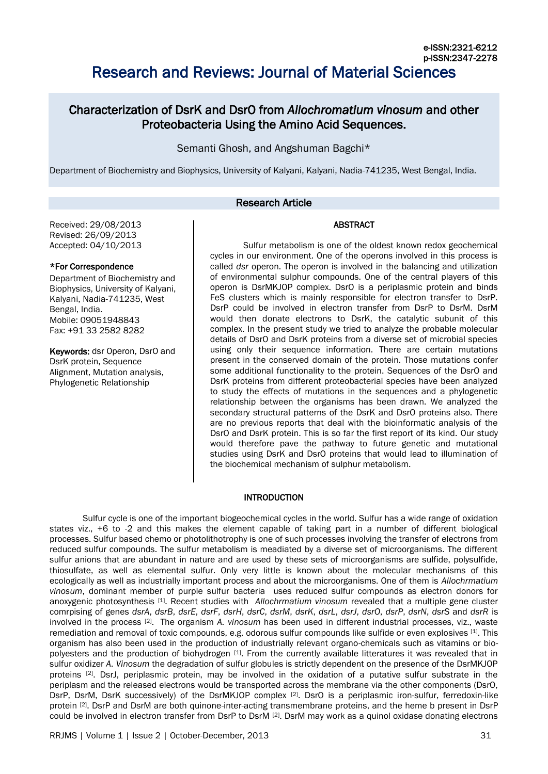# Characterization of DsrK and DsrO from *Allochromatium vinosum* and other Proteobacteria Using the Amino Acid Sequences.

Semanti Ghosh, and Angshuman Bagchi\*

Department of Biochemistry and Biophysics, University of Kalyani, Kalyani, Nadia-741235, West Bengal, India.

# Research Article

### Received: 29/08/2013 Revised: 26/09/2013 Accepted: 04/10/2013

# \*For Correspondence

Department of Biochemistry and Biophysics, University of Kalyani, Kalyani, Nadia-741235, West Bengal, India. Mobile: 09051948843 Fax: +91 33 2582 8282

Keywords: dsr Operon, DsrO and DsrK protein, Sequence Alignment, Mutation analysis, Phylogenetic Relationship

Sulfur metabolism is one of the oldest known redox geochemical cycles in our environment. One of the operons involved in this process is called *dsr* operon. The operon is involved in the balancing and utilization of environmental sulphur compounds. One of the central players of this operon is DsrMKJOP complex. DsrO is a periplasmic protein and binds FeS clusters which is mainly responsible for electron transfer to DsrP. DsrP could be involved in electron transfer from DsrP to DsrM. DsrM would then donate electrons to DsrK, the catalytic subunit of this complex. In the present study we tried to analyze the probable molecular details of DsrO and DsrK proteins from a diverse set of microbial species using only their sequence information. There are certain mutations present in the conserved domain of the protein. Those mutations confer some additional functionality to the protein. Sequences of the DsrO and DsrK proteins from different proteobacterial species have been analyzed to study the effects of mutations in the sequences and a phylogenetic relationship between the organisms has been drawn. We analyzed the secondary structural patterns of the DsrK and DsrO proteins also. There are no previous reports that deal with the bioinformatic analysis of the DsrO and DsrK protein. This is so far the first report of its kind. Our study would therefore pave the pathway to future genetic and mutational studies using DsrK and DsrO proteins that would lead to illumination of the biochemical mechanism of sulphur metabolism.

ABSTRACT

# **INTRODUCTION**

Sulfur cycle is one of the important biogeochemical cycles in the world. Sulfur has a wide range of oxidation states viz., +6 to -2 and this makes the element capable of taking part in a number of different biological processes. Sulfur based chemo or photolithotrophy is one of such processes involving the transfer of electrons from reduced sulfur compounds. The sulfur metabolism is meadiated by a diverse set of microorganisms. The different sulfur anions that are abundant in nature and are used by these sets of microorganisms are sulfide, polysulfide, thiosulfate, as well as elemental sulfur. Only very little is known about the molecular mechanisms of this ecologically as well as industrially important process and about the microorganisms. One of them is *Allochrmatium vinosum*, dominant member of purple sulfur bacteria uses reduced sulfur compounds as electron donors for anoxygenic photosynthesis [1]. Recent studies with *Allochrmatium vinosum* revealed that a multiple gene cluster comrpising of genes *dsrA*, *dsrB*, *dsrE*, *dsrF*, *dsrH*, *dsrC*, *dsrM*, *dsrK*, *dsrL*, *dsrJ*, *dsrO*, *dsrP*, *dsrN*, *dsrS* and *dsrR* is involved in the process [2] . The organism *A. vinosum* has been used in different industrial processes, viz., waste remediation and removal of toxic compounds, e.g. odorous sulfur compounds like sulfide or even explosives [1]. This organism has also been used in the production of industrially relevant organo-chemicals such as vitamins or biopolyesters and the production of biohydrogen [1]. From the currently available litteratures it was revealed that in sulfur oxidizer *A. Vinosum* the degradation of sulfur globules is strictly dependent on the presence of the DsrMKJOP proteins <sup>[2]</sup>. DsrJ, periplasmic protein, may be involved in the oxidation of a putative sulfur substrate in the periplasm and the released electrons would be transported across the membrane via the other components (DsrO, DsrP, DsrM, DsrK successively) of the DsrMKJOP complex [2]. DsrO is a periplasmic iron-sulfur, ferredoxin-like protein <sup>[2]</sup>. DsrP and DsrM are both quinone-inter-acting transmembrane proteins, and the heme b present in DsrP could be involved in electron transfer from DsrP to DsrM [2]. DsrM may work as a quinol oxidase donating electrons

RRJMS | Volume 1 | Issue 2 | October-December, 2013 **31 | State 31 | ISSUE 2** | October-December, 2013 **31** | State 31 | ISSUE 31 | ISSUE 31 | ISSUE 31 | ISSUE 31 | ISSUE 31 | ISSUE 31 | ISSUE 31 | ISSUE 31 | ISSUE 31 | IS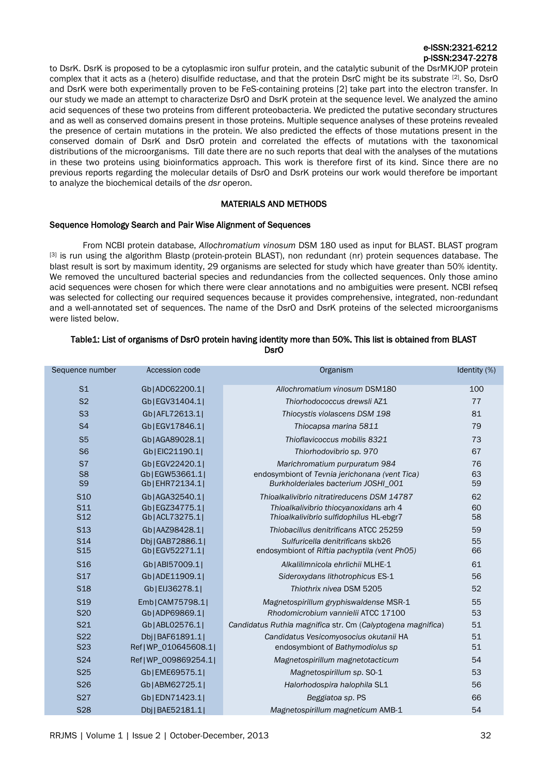to DsrK. DsrK is proposed to be a cytoplasmic iron sulfur protein, and the catalytic subunit of the DsrMKJOP protein complex that it acts as a (hetero) disulfide reductase, and that the protein DsrC might be its substrate <sup>[2]</sup>. So, DsrO and DsrK were both experimentally proven to be FeS-containing proteins [2] take part into the electron transfer. In our study we made an attempt to characterize DsrO and DsrK protein at the sequence level. We analyzed the amino acid sequences of these two proteins from different proteobacteria. We predicted the putative secondary structures and as well as conserved domains present in those proteins. Multiple sequence analyses of these proteins revealed the presence of certain mutations in the protein. We also predicted the effects of those mutations present in the conserved domain of DsrK and DsrO protein and correlated the effects of mutations with the taxonomical distributions of the microorganisms. Till date there are no such reports that deal with the analyses of the mutations in these two proteins using bioinformatics approach. This work is therefore first of its kind. Since there are no previous reports regarding the molecular details of DsrO and DsrK proteins our work would therefore be important to analyze the biochemical details of the *dsr* operon.

# MATERIALS AND METHODS

# Sequence Homology Search and Pair Wise Alignment of Sequences

From NCBI protein database, *Allochromatium vinosum* DSM 180 used as input for BLAST. BLAST program [3] is run using the algorithm Blastp (protein-protein BLAST), non redundant (nr) protein sequences database. The blast result is sort by maximum identity, 29 organisms are selected for study which have greater than 50% identity. We removed the uncultured bacterial species and redundancies from the collected sequences. Only those amino acid sequences were chosen for which there were clear annotations and no ambiguities were present. NCBI refseq was selected for collecting our required sequences because it provides comprehensive, integrated, non-redundant and a well-annotated set of sequences. The name of the DsrO and DsrK proteins of the selected microorganisms were listed below.

| Sequence number                    | Accession code                  | Organism                                                                          | Identity (%) |
|------------------------------------|---------------------------------|-----------------------------------------------------------------------------------|--------------|
| S <sub>1</sub>                     | Gb ADC62200.1                   | Allochromatium vinosum DSM180                                                     | 100          |
| S <sub>2</sub>                     | Gb EGV31404.1                   | Thiorhodococcus drewsli AZ1                                                       | 77           |
| S <sub>3</sub>                     | Gb AFL72613.1                   | Thiocystis violascens DSM 198                                                     | 81           |
| S <sub>4</sub>                     | Gb EGV17846.1                   | Thiocapsa marina 5811                                                             | 79           |
| S <sub>5</sub>                     | Gb AGA89028.1                   | Thioflavicoccus mobilis 8321                                                      | 73           |
| S <sub>6</sub>                     | Gb EIC21190.1                   | Thiorhodovibrio sp. 970                                                           | 67           |
| S7                                 | Gb EGV22420.1                   | Marichromatium purpuratum 984                                                     | 76           |
| S <sub>8</sub>                     | Gb EGW53661.1                   | endosymbiont of Tevnia jerichonana (vent Tica)                                    | 63           |
| S <sub>9</sub>                     | Gb EHR72134.1                   | Burkholderiales bacterium JOSHI_001                                               | 59           |
| S <sub>10</sub>                    | Gb AGA32540.1                   | Thioalkalivibrio nitratireducens DSM 14787                                        | 62           |
| S <sub>11</sub><br>S <sub>12</sub> | Gb EGZ34775.1 <br>Gb ACL73275.1 | Thioalkalivibrio thiocyanoxidans arh 4<br>Thioalkalivibrio sulfidophilus HL-ebgr7 | 60<br>58     |
| S <sub>13</sub>                    | Gb AAZ98428.1                   | Thiobacillus denitrificans ATCC 25259                                             | 59           |
| S <sub>14</sub>                    | Dbj   GAB72886.1                | Sulfuricella denitrificans skb26                                                  | 55           |
| S <sub>15</sub>                    | Gb EGV52271.1                   | endosymbiont of Riftia pachyptila (vent Ph05)                                     | 66           |
| S <sub>16</sub>                    | Gb ABI57009.1                   | Alkalilimnicola ehrlichii MLHE-1                                                  | 61           |
| <b>S17</b>                         | Gb ADE11909.1                   | Sideroxydans lithotrophicus ES-1                                                  | 56           |
| <b>S18</b>                         | Gb EIJ36278.1                   | Thiothrix nivea DSM 5205                                                          | 52           |
| S <sub>19</sub>                    | Emb CAM75798.1                  | Magnetospirillum gryphiswaldense MSR-1                                            | 55           |
| <b>S20</b>                         | Gb ADP69869.1                   | Rhodomicrobium vannielii ATCC 17100                                               | 53           |
| S21                                | Gb ABL02576.1                   | Candidatus Ruthia magnifica str. Cm (Calyptogena magnifica)                       | 51           |
| S <sub>22</sub>                    | Dbj   BAF61891.1                | Candidatus Vesicomyosocius okutanii HA                                            | 51           |
| S <sub>23</sub>                    | Ref   WP 010645608.1            | endosymbiont of Bathymodiolus sp                                                  | 51           |
| S24                                | Ref   WP 009869254.1            | Magnetospirillum magnetotacticum                                                  | 54           |
| S <sub>25</sub>                    | Gb EME69575.1                   | Magnetospirillum sp. SO-1                                                         | 53           |
| <b>S26</b>                         | Gb ABM62725.1                   | Halorhodospira halophila SL1                                                      | 56           |
| <b>S27</b>                         | Gb EDN71423.1                   | Beggiatoa sp. PS                                                                  | 66           |
| <b>S28</b>                         | Dbj   BAE52181.1                | Magnetospirillum magneticum AMB-1                                                 | 54           |

### Table1: List of organisms of DsrO protein having identity more than 50%. This list is obtained from BLAST DsrO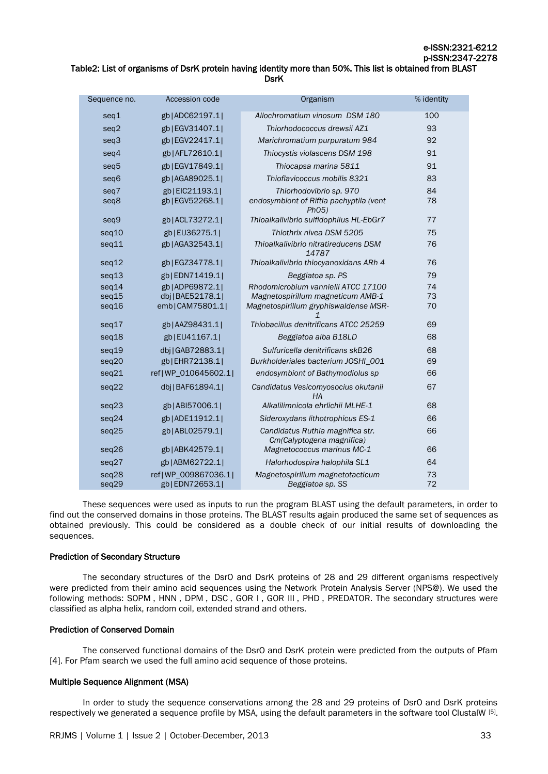# Table2: List of organisms of DsrK protein having identity more than 50%. This list is obtained from BLAST **DsrK**

| Sequence no.   | Accession code                       | Organism                                                      | % identity |
|----------------|--------------------------------------|---------------------------------------------------------------|------------|
| seq1           | gb ADC62197.1                        | Allochromatium vinosum DSM 180                                | 100        |
| seq2           | gb EGV31407.1                        | Thiorhodococcus drewsii AZ1                                   | 93         |
| seq3           | gb EGV22417.1                        | Marichromatium purpuratum 984                                 | 92         |
| seq4           | gb AFL72610.1                        | Thiocystis violascens DSM 198                                 | 91         |
| seq5           | gb EGV17849.1                        | Thiocapsa marina 5811                                         | 91         |
| seq6           | gb   AGA89025.1                      | Thioflavicoccus mobilis 8321                                  | 83         |
| seq7           | gb EIC21193.1                        | Thiorhodovibrio sp. 970                                       | 84         |
| seq8           | gb EGV52268.1                        | endosymbiont of Riftia pachyptila (vent<br>Ph05)              | 78         |
| seq9           | gb ACL73272.1                        | Thioalkalivibrio sulfidophilus HL-EbGr7                       | 77         |
| seq10          | gb EIJ36275.1                        | Thiothrix nivea DSM 5205                                      | 75         |
| seq11          | gb   AGA32543.1                      | Thioalkalivibrio nitratireducens DSM<br>14787                 | 76         |
| seq12          | gb EGZ34778.1                        | Thioalkalivibrio thiocyanoxidans ARh 4                        | 76         |
| seq13          | gb   EDN71419.1                      | Beggiatoa sp. PS                                              | 79         |
| seq14          | gb   ADP69872.1                      | Rhodomicrobium vannielii ATCC 17100                           | 74         |
| seq15          | dbj   BAE52178.1                     | Magnetospirillum magneticum AMB-1                             | 73         |
| seq16          | emb CAM75801.1                       | Magnetospirillum gryphiswaldense MSR-                         | 70         |
| seq17          | gb AAZ98431.1                        | Thiobacillus denitrificans ATCC 25259                         | 69         |
| seq18          | gb EIJ41167.1                        | Beggiatoa alba B18LD                                          | 68         |
| seq19          | dbj   GAB72883.1                     | Sulfuricella denitrificans skB26                              | 68         |
| seq20          | gb EHR72138.1                        | Burkholderiales bacterium JOSHI_001                           | 69         |
| seq21          | ref WP_010645602.1                   | endosymbiont of Bathymodiolus sp                              | 66         |
| seq22          | dbj   BAF61894.1                     | Candidatus Vesicomyosocius okutanii<br>HA                     | 67         |
| seq23          | gb ABI57006.1                        | Alkalilimnicola ehrlichii MLHE-1                              | 68         |
| seq24          | gb   ADE11912.1                      | Sideroxydans lithotrophicus ES-1                              | 66         |
| seq25          | gb ABL02579.1                        | Candidatus Ruthia magnifica str.<br>Cm(Calyptogena magnifica) | 66         |
| seq26          | gb   ABK42579.1                      | Magnetococcus marinus MC-1                                    | 66         |
| seq27          | gb   ABM62722.1                      | Halorhodospira halophila SL1                                  | 64         |
| seq28<br>seq29 | ref WP_009867036.1 <br>gb EDN72653.1 | Magnetospirillum magnetotacticum<br>Beggiatoa sp. SS          | 73<br>72   |
|                |                                      |                                                               |            |

These sequences were used as inputs to run the program BLAST using the default parameters, in order to find out the conserved domains in those proteins. The BLAST results again produced the same set of sequences as obtained previously. This could be considered as a double check of our initial results of downloading the sequences.

# Prediction of Secondary Structure

The secondary structures of the DsrO and DsrK proteins of 28 and 29 different organisms respectively were predicted from their amino acid sequences using the Network Protein Analysis Server (NPS@). We used the following methods: [SOPM](http://npsa-pbil.ibcp.fr/cgi-bin/npsa_automat.pl?page=/NPSA/npsa_sopm.html), [HNN](http://npsa-pbil.ibcp.fr/cgi-bin/npsa_automat.pl?page=/NPSA/npsa_hnn.html), [DPM](http://npsa-pbil.ibcp.fr/cgi-bin/npsa_automat.pl?page=/NPSA/npsa_dpm.html), [DSC](http://npsa-pbil.ibcp.fr/cgi-bin/npsa_automat.pl?page=/NPSA/npsa_dsc.html), GOR I, [GOR III](http://npsa-pbil.ibcp.fr/cgi-bin/npsa_automat.pl?page=/NPSA/npsa_gib.html), [PHD](http://npsa-pbil.ibcp.fr/cgi-bin/npsa_automat.pl?page=/NPSA/npsa_phd.html), [PREDATOR.](http://npsa-pbil.ibcp.fr/cgi-bin/npsa_automat.pl?page=/NPSA/npsa_predator.html) The secondary structures were classified as alpha helix, random coil, extended strand and others.

# Prediction of Conserved Domain

The conserved functional domains of the DsrO and DsrK protein were predicted from the outputs of Pfam [4]. For Pfam search we used the full amino acid sequence of those proteins.

# Multiple Sequence Alignment (MSA)

In order to study the sequence conservations among the 28 and 29 proteins of DsrO and DsrK proteins respectively we generated a sequence profile by MSA, using the default parameters in the software tool ClustalW [5].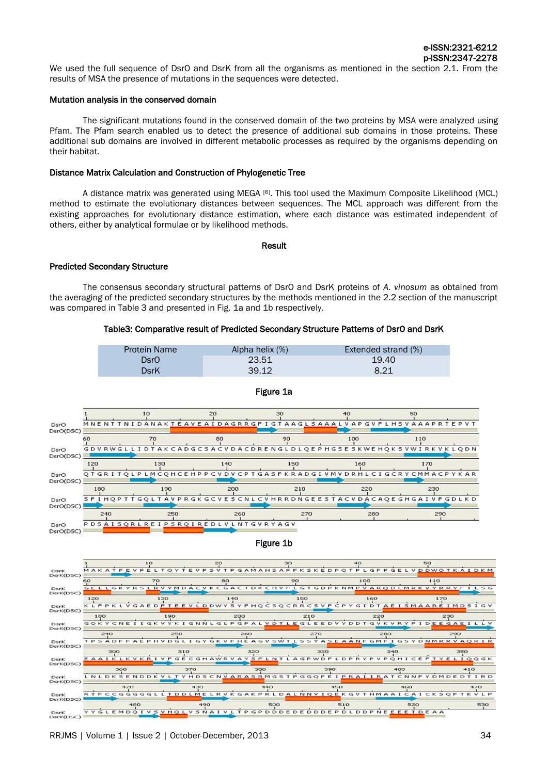We used the full sequence of DsrO and DsrK from all the organisms as mentioned in the section 2.1. From the results of MSA the presence of mutations in the sequences were detected.

### Mutation analysis in the conserved domain

The significant mutations found in the conserved domain of the two proteins by MSA were analyzed using Pfam. The Pfam search enabled us to detect the presence of additional sub domains in those proteins. These additional sub domains are involved in different metabolic processes as required by the organisms depending on their habitat.

#### Distance Matrix Calculation and Construction of Phylogenetic Tree

A distance matrix was generated using MEGA [6]. This tool used the Maximum Composite Likelihood (MCL) method to estimate the evolutionary distances between sequences. The MCL approach was different from the existing approaches for evolutionary distance estimation, where each distance was estimated independent of others, either by analytical formulae or by likelihood methods.

#### Result

#### Predicted Secondary Structure

The consensus secondary structural patterns of DsrO and DsrK proteins of *A. vinosum* as obtained from the averaging of the predicted secondary structures by the methods mentioned in the 2.2 section of the manuscript was compared in Table 3 and presented in Fig. 1a and 1b respectively.

#### Table3: Comparative result of Predicted Secondary Structure Patterns of DsrO and DsrK

| <b>Protein Name</b> | Alpha helix (%) | Extended strand (%) |
|---------------------|-----------------|---------------------|
| DsrO                | 23.51           | 19.40               |
| DsrK                | 39.12           | 8.21                |



#### Figure 1a

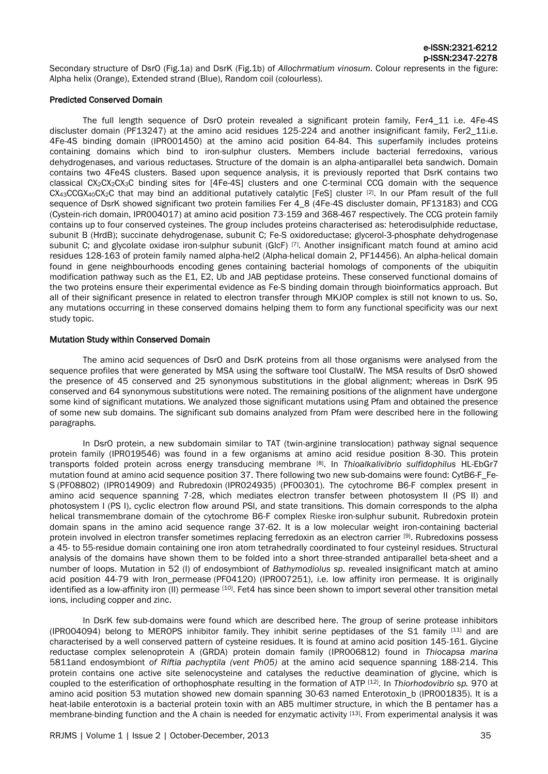Secondary structure of DsrO (Fig.1a) and DsrK (Fig.1b) of *Allochrmatium vinosum*. Colour represents in the figure: Alpha helix (Orange), Extended strand (Blue), Random coil (colourless).

### Predicted Conserved Domain

The full length sequence of DsrO protein revealed a significant protein family, Fer4\_11 i.e. 4Fe-4S discluster domain (PF13247) at the amino acid residues 125-224 and another insignificant family, Fer2 11i.e. 4Fe-4S binding domain (IPR001450) at the amino acid position 64-84. This superfamily includes proteins containing domains which bind to iron-sulphur clusters. Members include bacterial ferredoxins, various dehydrogenases, and various reductases. Structure of the domain is an alpha-antiparallel beta sandwich. Domain contains two 4Fe4S clusters. Based upon sequence analysis, it is previously reported that DsrK contains two classical CX2CX2CX3C binding sites for [4Fe-4S] clusters and one C-terminal CCG domain with the sequence  $CX_{43}CCGX_{40}CX_{2}C$  that may bind an additional putatively catalytic [FeS] cluster  $[2]$ . In our Pfam result of the full sequence of DsrK showed significant two protein families Fer 4  $\,8\,$  (4Fe-4S discluster domain, PF13183) and CCG (Cystein-rich domain, IPR004017) at amino acid position 73-159 and 368-467 respectively. The CCG protein family contains up to four conserved cysteines. The group includes proteins characterised as: heterodisulphide reductase, subunit B (HrdB); succinate dehydrogenase, subunit C; Fe-S oxidoreductase; glycerol-3-phosphate dehydrogenase subunit C; and glycolate oxidase iron-sulphur subunit (GlcF) [7] . Another insignificant match found at amino acid residues 128-163 of protein family named alpha-hel2 (Alpha-helical domain 2, PF14456). An alpha-helical domain found in gene neighbourhoods encoding genes containing bacterial homologs of components of the ubiquitin modification pathway such as the E1, E2, Ub and JAB peptidase proteins. These conserved functional domains of the two proteins ensure their experimental evidence as Fe-S binding domain through bioinformatics approach. But all of their significant presence in related to electron transfer through MKJOP complex is still not known to us. So, any mutations occurring in these conserved domains helping them to form any functional specificity was our next study topic.

### Mutation Study within Conserved Domain

The amino acid sequences of DsrO and DsrK proteins from all those organisms were analysed from the sequence profiles that were generated by MSA using the software tool ClustalW. The MSA results of DsrO showed the presence of 45 conserved and 25 synonymous substitutions in the global alignment; whereas in DsrK 95 conserved and 64 synonymous substitutions were noted. The remaining positions of the alignment have undergone some kind of significant mutations. We analyzed those significant mutations using Pfam and obtained the presence of some new sub domains. The significant sub domains analyzed from Pfam were described here in the following paragraphs.

In DsrO protein, a new subdomain similar to TAT (twin-arginine translocation) pathway signal sequence protein family (IPR019546) was found in a few organisms at amino acid residue position 8-30. This protein transports folded protein across energy transducing membrane [8] . In *Thioalkalivibrio sulfidophilus* HL-EbGr7 mutation found at amino acid sequence position 37. There following two new sub-domains were found: CytB6-F\_Fe-S (PF08802) (IPR014909) and Rubredoxin (IPR024935) (PF00301). The cytochrome B6-F complex present in amino acid sequence spanning 7-28, which mediates electron transfer between photosystem II (PS II) and photosystem I (PS I), cyclic electron flow around PSI, and state transitions. This domain corresponds to the alpha helical transmembrane domain of the cytochrome B6-F complex Rieske iron-sulphur subunit. Rubredoxin protein domain spans in the amino acid sequence range 37-62. It is a low molecular weight iron-containing bacterial protein involved in electron transfer sometimes replacing ferredoxin as an electron carrier [9]. Rubredoxins possess a 45- to 55-residue domain containing one iron atom tetrahedrally coordinated to four cysteinyl residues. Structural analysis of the domains have shown them to be folded into a short three-stranded antiparallel beta-sheet and a number of loops. Mutation in 52 (I) of endosymbiont of *Bathymodiolus sp*. revealed insignificant match at amino acid position 44-79 with Iron\_permease (PF04120) (IPR007251), i.e. low affinity iron permease. It is originally identified as a low-affinity iron (II) permease [10]. Fet4 has since been shown to import several other transition metal ions, including copper and zinc.

In DsrK few sub-domains were found which are described here. The group of serine protease inhibitors (IPR004094) belong to MEROPS inhibitor family. They inhibit serine peptidases of the S1 family  $[11]$  and are characterised by a well conserved pattern of cysteine residues. It is found at amino acid position 145-161. Glycine reductase complex selenoprotein A (GRDA) protein domain family (IPR006812) found in *Thiocapsa marina*  5811and endosymbiont *of Riftia pachyptila (vent Ph05)* at the amino acid sequence spanning 188-214. This protein contains one active site selenocysteine and catalyses the reductive deamination of glycine, which is coupled to the esterification of orthophosphate resulting in the formation of ATP [12] . In *Thiorhodovibrio sp.* 970 at amino acid position 53 mutation showed new domain spanning 30-63 named Enterotoxin b (IPR001835). It is a heat-labile enterotoxin is a bacterial protein toxin with an AB5 multimer structure, in which the B pentamer has a membrane-binding function and the A chain is needed for enzymatic activity [13]. From experimental analysis it was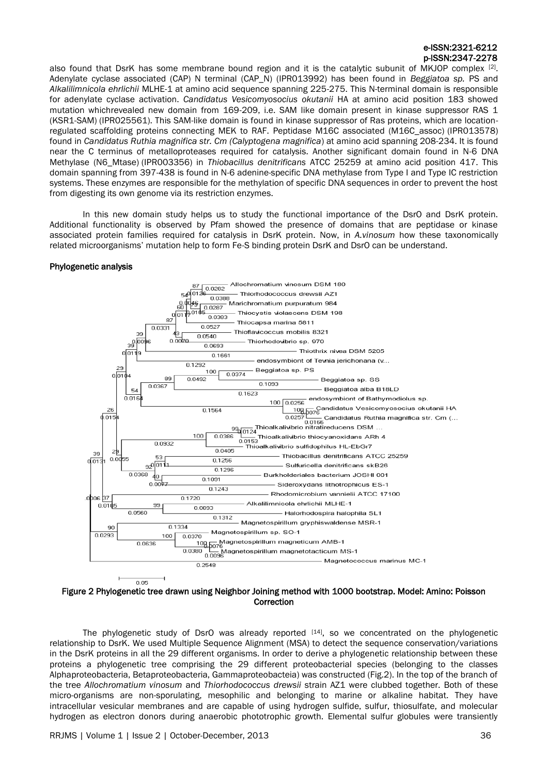also found that DsrK has some membrane bound region and it is the catalytic subunit of MKJOP complex  $[2]$ . Adenylate cyclase associated (CAP) N terminal (CAP\_N) (IPR013992) has been found in *Beggiatoa sp.* PS and *Alkalilimnicola ehrlichii* MLHE-1 at amino acid sequence spanning 225-275. This N-terminal domain is responsible for adenylate cyclase activation. *Candidatus Vesicomyosocius okutanii* HA at amino acid position 183 showed mutation whichrevealed new domain from 169-209, i.e. SAM like domain present in kinase suppressor RAS 1 (KSR1-SAM) (IPR025561). This SAM-like domain is found in kinase suppressor of Ras proteins, which are locationregulated scaffolding proteins connecting MEK to RAF. Peptidase M16C associated (M16C\_assoc) (IPR013578) found in *Candidatus Ruthia magnifica str. Cm (Calyptogena magnifica*) at amino acid spanning 208-234. It is found near the C terminus of metalloproteases required for catalysis. Another significant domain found in N-6 DNA Methylase (N6\_Mtase) (IPR003356) in *Thiobacillus denitrificans* ATCC 25259 at amino acid position 417. This domain spanning from 397-438 is found in N-6 adenine-specific DNA methylase from Type I and Type IC restriction systems. These enzymes are responsible for the methylation of specific DNA sequences in order to prevent the host from digesting its own genome via its restriction enzymes.

In this new domain study helps us to study the functional importance of the DsrO and DsrK protein. Additional functionality is observed by Pfam showed the presence of domains that are peptidase or kinase associated protein families required for catalysis in DsrK protein. Now, in *A.vinosum* how these taxonomically related microorganisms' mutation help to form Fe-S binding protein DsrK and DsrO can be understand.

### Phylogenetic analysis



Figure 2 Phylogenetic tree drawn using Neighbor Joining method with 1000 bootstrap. Model: Amino: Poisson **Correction** 

The phylogenetic study of DsrO was already reported [14] , so we concentrated on the phylogenetic relationship to DsrK. We used Multiple Sequence Alignment (MSA) to detect the sequence conservation/variations in the DsrK proteins in all the 29 different organisms. In order to derive a phylogenetic relationship between these proteins a phylogenetic tree comprising the 29 different proteobacterial species (belonging to the classes Alphaproteobacteria, Betaproteobacteria, Gammaproteobacteia) was constructed (Fig.2). In the top of the branch of the tree *Allochromatium vinosum* and *Thiorhodococcus drewsii* strain AZ1 were clubbed together. Both of these micro-organisms are non-sporulating, mesophilic and belonging to marine or alkaline habitat. They have intracellular vesicular membranes and are capable of using hydrogen sulfide, sulfur, thiosulfate, and molecular hydrogen as electron donors during anaerobic phototrophic growth. Elemental sulfur globules were transiently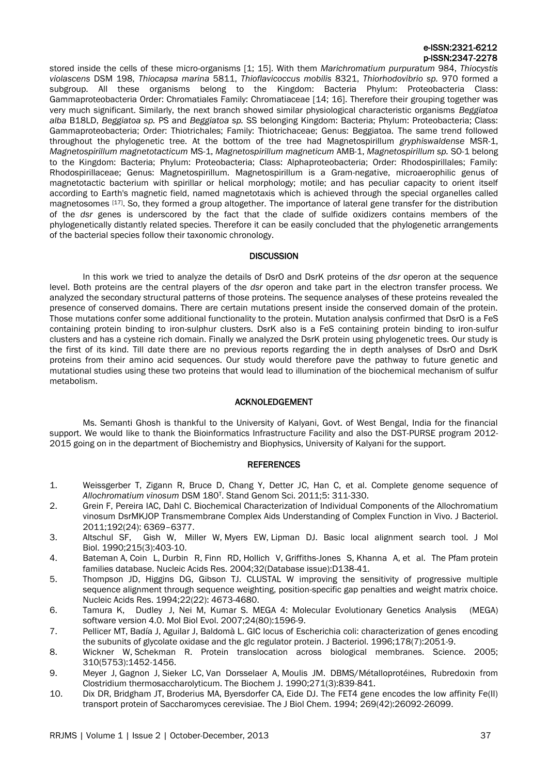stored inside the cells of these micro-organisms [1; 15]. With them *Marichromatium purpuratum* 984, *Thiocystis violascens* DSM 198, *Thiocapsa marina* 5811, *Thioflavicoccus mobilis* 8321, *Thiorhodovibrio sp.* 970 formed a subgroup. All these organisms belong to the Kingdom: Bacteria Phylum: Proteobacteria Class: Gammaproteobacteria Order: Chromatiales Family: Chromatiaceae [14; 16]. Therefore their grouping together was very much significant. Similarly, the next branch showed similar physiological characteristic organisms *Beggiatoa alba* B18LD, *Beggiatoa sp.* PS and *Beggiatoa sp.* SS belonging Kingdom: Bacteria; Phylum: Proteobacteria; Class: Gammaproteobacteria; Order: Thiotrichales; Family: Thiotrichaceae; Genus: Beggiatoa. The same trend followed throughout the phylogenetic tree. At the bottom of the tree had Magnetospirillum *gryphiswaldense* MSR-1, *Magnetospirillum magnetotacticum* MS-1, *Magnetospirillum magneticum* AMB-1, *Magnetospirillum sp.* SO-1 belong to the Kingdom: Bacteria; Phylum: Proteobacteria; Class: Alphaproteobacteria; Order: Rhodospirillales; Family: Rhodospirillaceae; Genus: Magnetospirillum. Magnetospirillum is a [Gram-negative,](file://wiki/Gram-negative) [microaerophilic](file://wiki/Microaerophilic) genus of [magnetotactic bacterium](file://wiki/Magnetotactic_bacteria) with spirillar or helical morphology; motile; and has peculiar capacity to orient itself according to [Earth's magnetic field,](file://wiki/Earth) named [magnetotaxis](file://wiki/Magnetotaxis) which is achieved through the special [organelles](file://wiki/Organelles) called [magnetosomes](file://wiki/Magnetosome) [17]. So, they formed a group altogether. The importance of lateral gene transfer for the distribution of the *dsr* genes is underscored by the fact that the clade of sulfide oxidizers contains members of the phylogenetically distantly related species. Therefore it can be easily concluded that the phylogenetic arrangements of the bacterial species follow their taxonomic chronology.

# **DISCUSSION**

In this work we tried to analyze the details of DsrO and DsrK proteins of the *dsr* operon at the sequence level. Both proteins are the central players of the *dsr* operon and take part in the electron transfer process. We analyzed the secondary structural patterns of those proteins. The sequence analyses of these proteins revealed the presence of conserved domains. There are certain mutations present inside the conserved domain of the protein. Those mutations confer some additional functionality to the protein. Mutation analysis confirmed that DsrO is a FeS containing protein binding to iron-sulphur clusters. DsrK also is a FeS containing protein binding to iron-sulfur clusters and has a cysteine rich domain. Finally we analyzed the DsrK protein using phylogenetic trees. Our study is the first of its kind. Till date there are no previous reports regarding the in depth analyses of DsrO and DsrK proteins from their amino acid sequences. Our study would therefore pave the pathway to future genetic and mutational studies using these two proteins that would lead to illumination of the biochemical mechanism of sulfur metabolism.

# ACKNOLEDGEMENT

Ms. Semanti Ghosh is thankful to the University of Kalyani, Govt. of West Bengal, India for the financial support. We would like to thank the Bioinformatics Infrastructure Facility and also the DST-PURSE program 2012- 2015 going on in the department of Biochemistry and Biophysics, University of Kalyani for the support.

# **REFERENCES**

- 1. Weissgerber T, Zigann R, Bruce D, Chang Y, Detter JC, Han C, et al. Complete genome sequence of *Allochromatium vinosum* DSM 180<sup>T</sup> . Stand Genom Sci. 2011;5: 311-330.
- 2. Grein F, Pereira IAC, Dahl C. Biochemical Characterization of Individual Components of the Allochromatium vinosum DsrMKJOP Transmembrane Complex Aids Understanding of Complex Function in Vivo. J Bacteriol. 2011;192(24): 6369–6377.
- 3. [Altschul](http://www.ncbi.nlm.nih.gov/pubmed?term=Altschul%20SF%5BAuthor%5D&cauthor=true&cauthor_uid=2231712) SF, [Gish](http://www.ncbi.nlm.nih.gov/pubmed?term=Gish%20W%5BAuthor%5D&cauthor=true&cauthor_uid=2231712) W, [Miller](http://www.ncbi.nlm.nih.gov/pubmed?term=Miller%20W%5BAuthor%5D&cauthor=true&cauthor_uid=2231712) W, [Myers](http://www.ncbi.nlm.nih.gov/pubmed?term=Myers%20EW%5BAuthor%5D&cauthor=true&cauthor_uid=2231712) EW, [Lipman](http://www.ncbi.nlm.nih.gov/pubmed?term=Lipman%20DJ%5BAuthor%5D&cauthor=true&cauthor_uid=2231712) DJ. Basic local alignment search tool. [J Mol](http://www.ncbi.nlm.nih.gov/pubmed/2231712)  [Biol.](http://www.ncbi.nlm.nih.gov/pubmed/2231712) 1990;215(3):403-10.
- 4. [Bateman](http://www.ncbi.nlm.nih.gov/pubmed?term=Bateman%20A%5BAuthor%5D&cauthor=true&cauthor_uid=14681378) A, [Coin](http://www.ncbi.nlm.nih.gov/pubmed?term=Coin%20L%5BAuthor%5D&cauthor=true&cauthor_uid=14681378) L, [Durbin R,](http://www.ncbi.nlm.nih.gov/pubmed?term=Durbin%20R%5BAuthor%5D&cauthor=true&cauthor_uid=14681378) [Finn RD,](http://www.ncbi.nlm.nih.gov/pubmed?term=Finn%20RD%5BAuthor%5D&cauthor=true&cauthor_uid=14681378) [Hollich V,](http://www.ncbi.nlm.nih.gov/pubmed?term=Hollich%20V%5BAuthor%5D&cauthor=true&cauthor_uid=14681378) [Griffiths-Jones S,](http://www.ncbi.nlm.nih.gov/pubmed?term=Griffiths-Jones%20S%5BAuthor%5D&cauthor=true&cauthor_uid=14681378) [Khanna A,](http://www.ncbi.nlm.nih.gov/pubmed?term=Khanna%20A%5BAuthor%5D&cauthor=true&cauthor_uid=14681378) et al. The Pfam protein families database. [Nucleic Acids Res.](http://www.ncbi.nlm.nih.gov/pubmed/14681378) 2004;32(Database issue):D138-41.
- 5. Thompson JD, Higgins DG, Gibson TJ. CLUSTAL W improving the sensitivity of progressive multiple sequence alignment through sequence weighting, position-specific gap penalties and weight matrix choice. Nucleic Acids Res. 1994;22(22): 4673-4680.
- 6. Tamura K,[Dudley](http://www.ncbi.nlm.nih.gov/pubmed?term=Dudley%20J%5BAuthor%5D&cauthor=true&cauthor_uid=17488738) J, Nei M, [Kumar](http://www.ncbi.nlm.nih.gov/pubmed?term=Kumar%20S%5BAuthor%5D&cauthor=true&cauthor_uid=17488738) S. MEGA 4: Molecular Evolutionary Genetics Analysis (MEGA) software version 4.0. [Mol Biol Evol.](http://www.ncbi.nlm.nih.gov/pubmed/?term=Tamura+et+al.%2C+2007+mega) 2007;24(80):1596-9.
- 7. [Pellicer MT,](http://www.ncbi.nlm.nih.gov/pubmed?term=Pellicer%20MT%5BAuthor%5D&cauthor=true&cauthor_uid=8606183) [Badía J,](http://www.ncbi.nlm.nih.gov/pubmed?term=Bad%C3%ADa%20J%5BAuthor%5D&cauthor=true&cauthor_uid=8606183) [Aguilar J,](http://www.ncbi.nlm.nih.gov/pubmed?term=Aguilar%20J%5BAuthor%5D&cauthor=true&cauthor_uid=8606183) [Baldomà L.](http://www.ncbi.nlm.nih.gov/pubmed?term=Baldom%C3%A0%20L%5BAuthor%5D&cauthor=true&cauthor_uid=8606183) GIC locus of Escherichia coli: characterization of genes encoding the subunits of glycolate oxidase and the glc regulator protein. [J Bacteriol.](http://www.ncbi.nlm.nih.gov/pubmed/8606183?dopt=Abstract) 1996;178(7):2051-9.
- 8. [Wickner W,](http://europepmc.org/search?page=1&query=AUTH:%22Wickner+W%22) [Schekman R.](http://europepmc.org/search?page=1&query=AUTH:%22Schekman+R%22) Protein translocation across biological membranes. [Science. 2005;](http://europepmc.org/search?page=1&query=ISSN:%220036-8075%22) 310(5753):1452-1456.
- 9. [Meyer J,](http://europepmc.org/search?page=1&query=AUTH:%22Meyer+J%22) [Gagnon J,](http://europepmc.org/search?page=1&query=AUTH:%22Gagnon+J%22) [Sieker LC,](http://europepmc.org/search?page=1&query=AUTH:%22Sieker+LC%22) [Van Dorsselaer A,](http://europepmc.org/search?page=1&query=AUTH:%22Van+Dorsselaer+A%22) [Moulis JM.](http://europepmc.org/search?page=1&query=AUTH:%22Moulis+JM%22) DBMS/Métalloprotéines, Rubredoxin from Clostridium thermosaccharolyticum. [The Biochem](http://europepmc.org/search?page=1&query=ISSN:%220264-6021%22) J. 1990;271(3):839-841.
- 10. [Dix DR,](http://europepmc.org/search?page=1&query=AUTH:%22Dix+DR%22) [Bridgham JT,](http://europepmc.org/search?page=1&query=AUTH:%22Bridgham+JT%22) [Broderius MA,](http://europepmc.org/search?page=1&query=AUTH:%22Broderius+MA%22) [Byersdorfer CA,](http://europepmc.org/search?page=1&query=AUTH:%22Byersdorfer+CA%22) [Eide DJ.](http://europepmc.org/search?page=1&query=AUTH:%22Eide+DJ%22) The FET4 gene encodes the low affinity Fe(II) transport protein of Saccharomyces cerevisiae. The J Biol [Chem.](http://europepmc.org/search?page=1&query=ISSN:%220021-9258%22) 1994; 269(42):26092-26099.